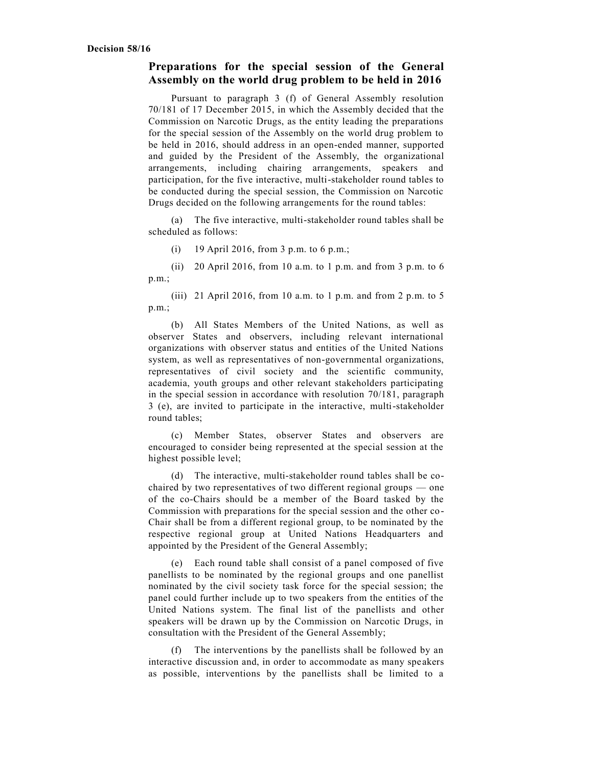## **Preparations for the special session of the General Assembly on the world drug problem to be held in 2016**

Pursuant to paragraph 3 (f) of General Assembly resolution 70/181 of 17 December 2015, in which the Assembly decided that the Commission on Narcotic Drugs, as the entity leading the preparations for the special session of the Assembly on the world drug problem to be held in 2016, should address in an open-ended manner, supported and guided by the President of the Assembly, the organizational arrangements, including chairing arrangements, speakers and participation, for the five interactive, multi-stakeholder round tables to be conducted during the special session, the Commission on Narcotic Drugs decided on the following arrangements for the round tables:

(a) The five interactive, multi-stakeholder round tables shall be scheduled as follows:

(i) 19 April 2016, from 3 p.m. to 6 p.m.;

(ii) 20 April 2016, from 10 a.m. to 1 p.m. and from 3 p.m. to 6 p.m.;

(iii) 21 April 2016, from 10 a.m. to 1 p.m. and from 2 p.m. to 5 p.m.;

(b) All States Members of the United Nations, as well as observer States and observers, including relevant international organizations with observer status and entities of the United Nations system, as well as representatives of non-governmental organizations, representatives of civil society and the scientific community, academia, youth groups and other relevant stakeholders participating in the special session in accordance with resolution 70/181, paragraph 3 (e), are invited to participate in the interactive, multi-stakeholder round tables;

(c) Member States, observer States and observers are encouraged to consider being represented at the special session at the highest possible level;

(d) The interactive, multi-stakeholder round tables shall be cochaired by two representatives of two different regional groups — one of the co-Chairs should be a member of the Board tasked by the Commission with preparations for the special session and the other co-Chair shall be from a different regional group, to be nominated by the respective regional group at United Nations Headquarters and appointed by the President of the General Assembly;

(e) Each round table shall consist of a panel composed of five panellists to be nominated by the regional groups and one panellist nominated by the civil society task force for the special session; the panel could further include up to two speakers from the entities of the United Nations system. The final list of the panellists and other speakers will be drawn up by the Commission on Narcotic Drugs, in consultation with the President of the General Assembly;

The interventions by the panellists shall be followed by an interactive discussion and, in order to accommodate as many spe akers as possible, interventions by the panellists shall be limited to a